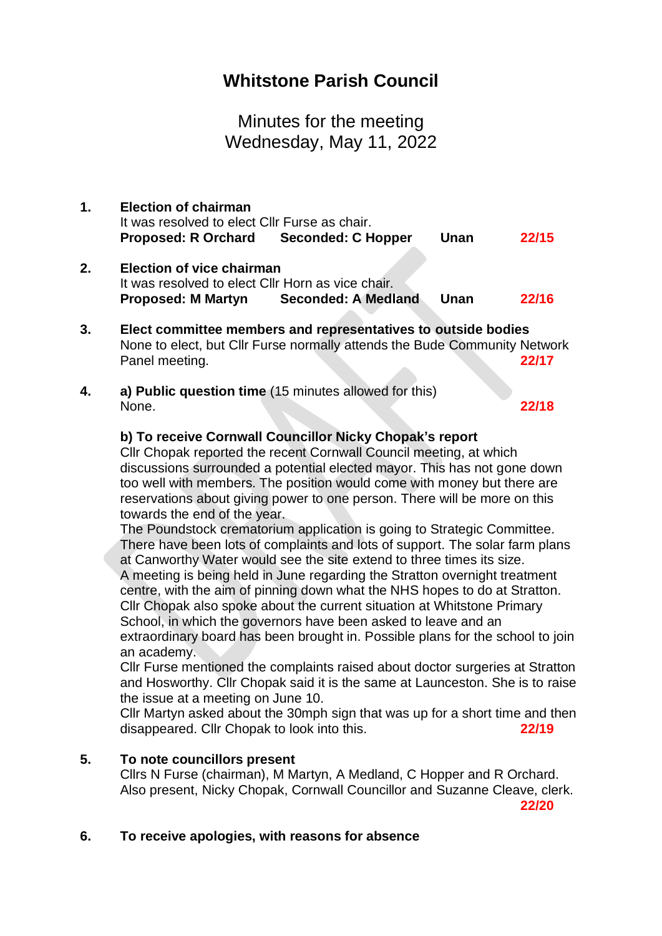# **Whitstone Parish Council**

Minutes for the meeting Wednesday, May 11, 2022

- **1. Election of chairman** It was resolved to elect Cllr Furse as chair. **Proposed: R Orchard Seconded: C Hopper Unan 22/15**
- **2. Election of vice chairman** It was resolved to elect Cllr Horn as vice chair. **Proposed: M Martyn Seconded: A Medland Unan 22/16**
- **3. Elect committee members and representatives to outside bodies** None to elect, but Cllr Furse normally attends the Bude Community Network Panel meeting. **22/17**
- **4. a) Public question time** (15 minutes allowed for this) None. **22/18**

## **b) To receive Cornwall Councillor Nicky Chopak's report**

Cllr Chopak reported the recent Cornwall Council meeting, at which discussions surrounded a potential elected mayor. This has not gone down too well with members. The position would come with money but there are reservations about giving power to one person. There will be more on this towards the end of the year.

The Poundstock crematorium application is going to Strategic Committee. There have been lots of complaints and lots of support. The solar farm plans at Canworthy Water would see the site extend to three times its size. A meeting is being held in June regarding the Stratton overnight treatment centre, with the aim of pinning down what the NHS hopes to do at Stratton. Cllr Chopak also spoke about the current situation at Whitstone Primary School, in which the governors have been asked to leave and an extraordinary board has been brought in. Possible plans for the school to join an academy.

Cllr Furse mentioned the complaints raised about doctor surgeries at Stratton and Hosworthy. Cllr Chopak said it is the same at Launceston. She is to raise the issue at a meeting on June 10.

Cllr Martyn asked about the 30mph sign that was up for a short time and then disappeared. Cllr Chopak to look into this. **22/19**

#### **5. To note councillors present**

Cllrs N Furse (chairman), M Martyn, A Medland, C Hopper and R Orchard. Also present, Nicky Chopak, Cornwall Councillor and Suzanne Cleave, clerk.

**22/20**

## **6. To receive apologies, with reasons for absence**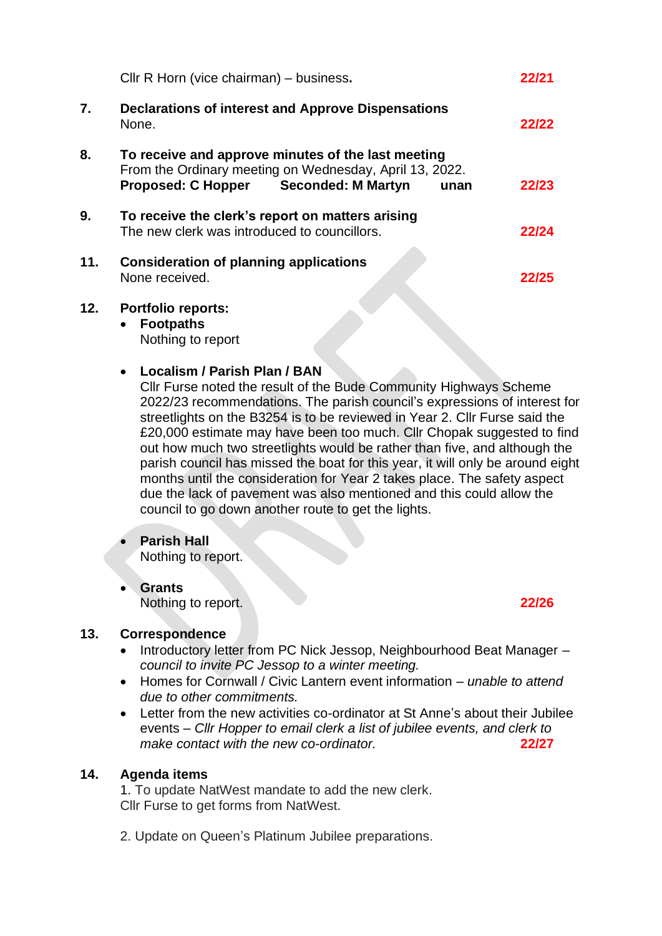|     | Cllr R Horn (vice chairman) - business.                                                                                                                                                                                                                                                                                                                                                                                                                                                                                                                                                                                                                                           |       |  |  |  |
|-----|-----------------------------------------------------------------------------------------------------------------------------------------------------------------------------------------------------------------------------------------------------------------------------------------------------------------------------------------------------------------------------------------------------------------------------------------------------------------------------------------------------------------------------------------------------------------------------------------------------------------------------------------------------------------------------------|-------|--|--|--|
|     | 22/21                                                                                                                                                                                                                                                                                                                                                                                                                                                                                                                                                                                                                                                                             |       |  |  |  |
| 7.  | <b>Declarations of interest and Approve Dispensations</b><br>None.                                                                                                                                                                                                                                                                                                                                                                                                                                                                                                                                                                                                                | 22/22 |  |  |  |
| 8.  | To receive and approve minutes of the last meeting<br>From the Ordinary meeting on Wednesday, April 13, 2022.<br><b>Proposed: C Hopper</b><br><b>Seconded: M Martyn</b><br>unan                                                                                                                                                                                                                                                                                                                                                                                                                                                                                                   | 22/23 |  |  |  |
| 9.  | To receive the clerk's report on matters arising<br>The new clerk was introduced to councillors.                                                                                                                                                                                                                                                                                                                                                                                                                                                                                                                                                                                  | 22/24 |  |  |  |
| 11. | <b>Consideration of planning applications</b><br>None received.                                                                                                                                                                                                                                                                                                                                                                                                                                                                                                                                                                                                                   | 22/25 |  |  |  |
| 12. | <b>Portfolio reports:</b><br><b>Footpaths</b><br>$\bullet$<br>Nothing to report<br>Localism / Parish Plan / BAN<br>$\bullet$<br>Cllr Furse noted the result of the Bude Community Highways Scheme<br>2022/23 recommendations. The parish council's expressions of interest for<br>streetlights on the B3254 is to be reviewed in Year 2. Cllr Furse said the<br>£20,000 estimate may have been too much. Cllr Chopak suggested to find<br>out how much two streetlights would be rather than five, and although the<br>parish council has missed the boat for this year, it will only be around eight<br>months until the consideration for Year 2 takes place. The safety aspect |       |  |  |  |
|     | due the lack of pavement was also mentioned and this could allow the<br>council to go down another route to get the lights.<br><b>Parish Hall</b>                                                                                                                                                                                                                                                                                                                                                                                                                                                                                                                                 |       |  |  |  |
|     | Nothing to report.                                                                                                                                                                                                                                                                                                                                                                                                                                                                                                                                                                                                                                                                |       |  |  |  |
|     | <b>Grants</b><br>Nothing to report.                                                                                                                                                                                                                                                                                                                                                                                                                                                                                                                                                                                                                                               | 22/26 |  |  |  |
| 13. | Correspondence<br>Introductory letter from PC Nick Jessop, Neighbourhood Beat Manager -<br>council to invite PC Jessop to a winter meeting.<br>Homes for Cornwall / Civic Lantern event information - unable to attend<br>due to other commitments.<br>Letter from the new activities co-ordinator at St Anne's about their Jubilee<br>events – Cllr Hopper to email clerk a list of jubilee events, and clerk to<br>make contact with the new co-ordinator.                                                                                                                                                                                                                      | 22/27 |  |  |  |
|     |                                                                                                                                                                                                                                                                                                                                                                                                                                                                                                                                                                                                                                                                                   |       |  |  |  |

## **14. Agenda items**

1. To update NatWest mandate to add the new clerk. Cllr Furse to get forms from NatWest.

2. Update on Queen's Platinum Jubilee preparations.